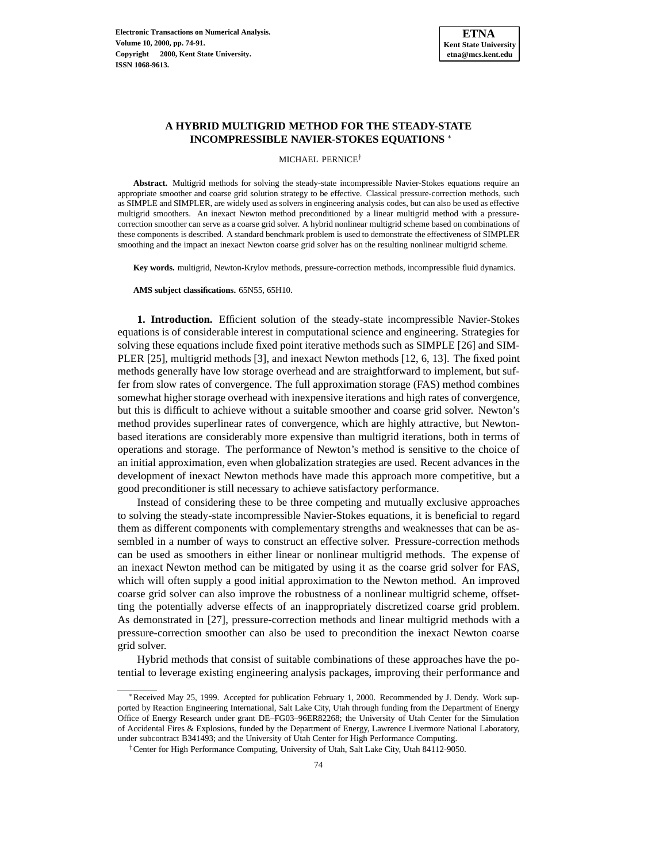

## **A HYBRID MULTIGRID METHOD FOR THE STEADY-STATE INCOMPRESSIBLE NAVIER-STOKES EQUATIONS** <sup>∗</sup>

MICHAEL PERNICE†

**Abstract.** Multigrid methods for solving the steady-state incompressible Navier-Stokes equations require an appropriate smoother and coarse grid solution strategy to be effective. Classical pressure-correction methods, such as SIMPLE and SIMPLER, are widely used as solvers in engineering analysis codes, but can also be used as effective multigrid smoothers. An inexact Newton method preconditioned by a linear multigrid method with a pressurecorrection smoother can serve as a coarse grid solver. A hybrid nonlinear multigrid scheme based on combinations of these components is described. A standard benchmark problem is used to demonstrate the effectiveness of SIMPLER smoothing and the impact an inexact Newton coarse grid solver has on the resulting nonlinear multigrid scheme.

**Key words.** multigrid, Newton-Krylov methods, pressure-correction methods, incompressible fluid dynamics.

**AMS subject classifications.** 65N55, 65H10.

**1. Introduction.** Efficient solution of the steady-state incompressible Navier-Stokes equations is of considerable interest in computational science and engineering. Strategies for solving these equations include fixed point iterative methods such as SIMPLE [26] and SIM-PLER [25], multigrid methods [3], and inexact Newton methods [12, 6, 13]. The fixed point methods generally have low storage overhead and are straightforward to implement, but suffer from slow rates of convergence. The full approximation storage (FAS) method combines somewhat higher storage overhead with inexpensive iterations and high rates of convergence, but this is difficult to achieve without a suitable smoother and coarse grid solver. Newton's method provides superlinear rates of convergence, which are highly attractive, but Newtonbased iterations are considerably more expensive than multigrid iterations, both in terms of operations and storage. The performance of Newton's method is sensitive to the choice of an initial approximation, even when globalization strategies are used. Recent advances in the development of inexact Newton methods have made this approach more competitive, but a good preconditioner is still necessary to achieve satisfactory performance.

Instead of considering these to be three competing and mutually exclusive approaches to solving the steady-state incompressible Navier-Stokes equations, it is beneficial to regard them as different components with complementary strengths and weaknesses that can be assembled in a number of ways to construct an effective solver. Pressure-correction methods can be used as smoothers in either linear or nonlinear multigrid methods. The expense of an inexact Newton method can be mitigated by using it as the coarse grid solver for FAS, which will often supply a good initial approximation to the Newton method. An improved coarse grid solver can also improve the robustness of a nonlinear multigrid scheme, offsetting the potentially adverse effects of an inappropriately discretized coarse grid problem. As demonstrated in [27], pressure-correction methods and linear multigrid methods with a pressure-correction smoother can also be used to precondition the inexact Newton coarse grid solver.

Hybrid methods that consist of suitable combinations of these approaches have the potential to leverage existing engineering analysis packages, improving their performance and

<sup>∗</sup>Received May 25, 1999. Accepted for publication February 1, 2000. Recommended by J. Dendy. Work supported by Reaction Engineering International, Salt Lake City, Utah through funding from the Department of Energy Office of Energy Research under grant DE–FG03–96ER82268; the University of Utah Center for the Simulation of Accidental Fires & Explosions, funded by the Department of Energy, Lawrence Livermore National Laboratory, under subcontract B341493; and the University of Utah Center for High Performance Computing.

<sup>†</sup>Center for High Performance Computing, University of Utah, Salt Lake City, Utah 84112-9050.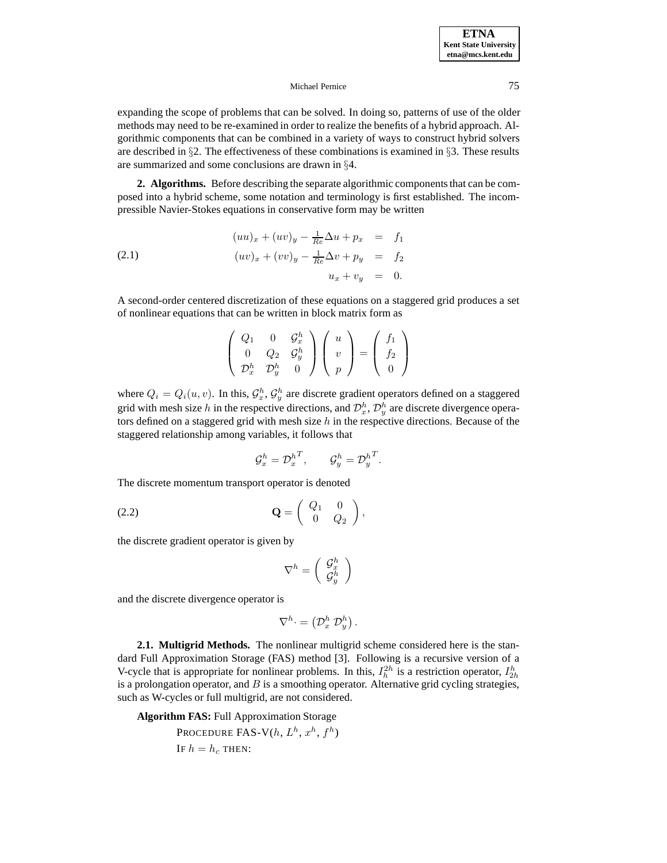expanding the scope of problems that can be solved. In doing so, patterns of use of the older methods may need to be re-examined in order to realize the benefits of a hybrid approach. Algorithmic components that can be combined in a variety of ways to construct hybrid solvers are described in §2. The effectiveness of these combinations is examined in §3. These results are summarized and some conclusions are drawn in §4.

**2. Algorithms.** Before describing the separate algorithmic components that can be composed into a hybrid scheme, some notation and terminology is first established. The incompressible Navier-Stokes equations in conservative form may be written

(2.1) 
$$
(uu)_x + (uv)_y - \frac{1}{Re}\Delta u + p_x = f_1
$$

$$
(uv)_x + (vv)_y - \frac{1}{Re}\Delta v + p_y = f_2
$$

$$
u_x + v_y = 0.
$$

A second-order centered discretization of these equations on a staggered grid produces a set of nonlinear equations that can be written in block matrix form as

$$
\left(\begin{array}{ccc} Q_1 & 0 & \mathcal{G}_x^h \\ 0 & Q_2 & \mathcal{G}_y^h \\ \mathcal{D}_x^h & \mathcal{D}_y^h & 0 \end{array}\right) \left(\begin{array}{c} u \\ v \\ p \end{array}\right) = \left(\begin{array}{c} f_1 \\ f_2 \\ 0 \end{array}\right)
$$

where  $Q_i = Q_i(u, v)$ . In this,  $\mathcal{G}_x^h$ ,  $\mathcal{G}_y^h$  are discrete gradient operators defined on a staggered grid with mesh size h in the respective directions, and  $\mathcal{D}_x^h$ ,  $\mathcal{D}_y^h$  are discrete divergence operators defined on a staggered grid with mesh size  $h$  in the respective directions. Because of the staggered relationship among variables, it follows that

$$
\mathcal{G}_x^h = \mathcal{D}_x^{h^T}, \qquad \mathcal{G}_y^h = \mathcal{D}_y^{h^T}.
$$

The discrete momentum transport operator is denoted

$$
\mathbf{Q} = \begin{pmatrix} Q_1 & 0 \\ 0 & Q_2 \end{pmatrix},
$$

the discrete gradient operator is given by

$$
\nabla^h=\left(\begin{array}{c} \mathcal{G}_x^h \\ \mathcal{G}_y^h \end{array}\right)
$$

and the discrete divergence operator is

$$
\nabla^h \cdot = \left(\mathcal{D}_x^h \; \mathcal{D}_y^h\right).
$$

**2.1. Multigrid Methods.** The nonlinear multigrid scheme considered here is the standard Full Approximation Storage (FAS) method [3]. Following is a recursive version of a V-cycle that is appropriate for nonlinear problems. In this,  $I_h^{2h}$  is a restriction operator,  $I_{2h}^h$ is a prolongation operator, and  $B$  is a smoothing operator. Alternative grid cycling strategies, such as W-cycles or full multigrid, are not considered.

**Algorithm FAS:** Full Approximation Storage

PROCEDURE FAS-V $(h, L^h, x^h, f^h)$ IF  $h = h_c$  THEN: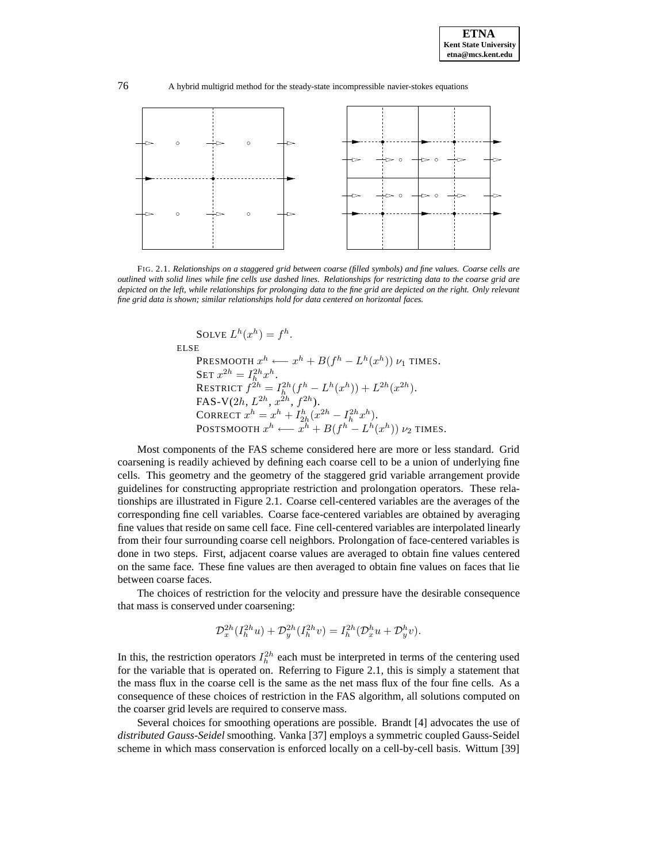

FIG. 2.1. *Relationships on a staggered grid between coarse (filled symbols) and fine values. Coarse cells are outlined with solid lines while fine cells use dashed lines. Relationships for restricting data to the coarse grid are depicted on the left, while relationships for prolonging data to the fine grid are depicted on the right. Only relevant fine grid data is shown; similar relationships hold for data centered on horizontal faces.*

SOLVE 
$$
L^h(x^h) = f^h
$$
.

ELSE

PRESMOOTH  $x^h \longleftarrow x^h + B(f^h - L^h(x^h)) \nu_1$  TIMES. SET  $x^{2h} = I_h^{2h} x^h$ . RESTRICT  $f^{2h} = I_h^{2h}(f^h - L^h(x^h)) + L^{2h}(x^{2h}).$ FAS-V $(2h, L^{2h}, x^{2h}, f^{2h}).$ CORRECT  $x^h = x^h + I_{2h}^h (x^{2h} - I_h^{2h} x^h)$ . POSTSMOOTH  $x^h \longleftarrow x^h + B(f^h - L^h(x^h)) \nu_2$  TIMES.

Most components of the FAS scheme considered here are more or less standard. Grid coarsening is readily achieved by defining each coarse cell to be a union of underlying fine cells. This geometry and the geometry of the staggered grid variable arrangement provide guidelines for constructing appropriate restriction and prolongation operators. These relationships are illustrated in Figure 2.1. Coarse cell-centered variables are the averages of the corresponding fine cell variables. Coarse face-centered variables are obtained by averaging fine values that reside on same cell face. Fine cell-centered variables are interpolated linearly from their four surrounding coarse cell neighbors. Prolongation of face-centered variables is done in two steps. First, adjacent coarse values are averaged to obtain fine values centered on the same face. These fine values are then averaged to obtain fine values on faces that lie between coarse faces.

The choices of restriction for the velocity and pressure have the desirable consequence that mass is conserved under coarsening:

$$
\mathcal{D}_x^{2h}(I_h^{2h}u) + \mathcal{D}_y^{2h}(I_h^{2h}v) = I_h^{2h}(\mathcal{D}_x^h u + \mathcal{D}_y^h v).
$$

In this, the restriction operators  $I_h^{2h}$  each must be interpreted in terms of the centering used for the variable that is operated on. Referring to Figure 2.1, this is simply a statement that the mass flux in the coarse cell is the same as the net mass flux of the four fine cells. As a consequence of these choices of restriction in the FAS algorithm, all solutions computed on the coarser grid levels are required to conserve mass.

Several choices for smoothing operations are possible. Brandt [4] advocates the use of *distributed Gauss-Seidel* smoothing. Vanka [37] employs a symmetric coupled Gauss-Seidel scheme in which mass conservation is enforced locally on a cell-by-cell basis. Wittum [39]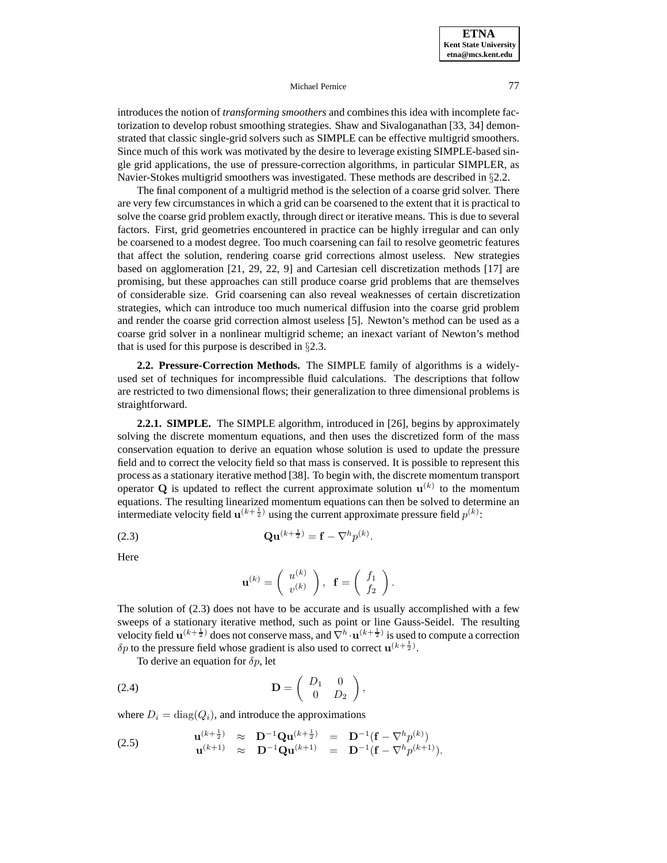introduces the notion of *transforming smoothers* and combines this idea with incomplete factorization to develop robust smoothing strategies. Shaw and Sivaloganathan [33, 34] demonstrated that classic single-grid solvers such as SIMPLE can be effective multigrid smoothers. Since much of this work was motivated by the desire to leverage existing SIMPLE-based single grid applications, the use of pressure-correction algorithms, in particular SIMPLER, as Navier-Stokes multigrid smoothers was investigated. These methods are described in §2.2.

The final component of a multigrid method is the selection of a coarse grid solver. There are very few circumstances in which a grid can be coarsened to the extent that it is practical to solve the coarse grid problem exactly, through direct or iterative means. This is due to several factors. First, grid geometries encountered in practice can be highly irregular and can only be coarsened to a modest degree. Too much coarsening can fail to resolve geometric features that affect the solution, rendering coarse grid corrections almost useless. New strategies based on agglomeration [21, 29, 22, 9] and Cartesian cell discretization methods [17] are promising, but these approaches can still produce coarse grid problems that are themselves of considerable size. Grid coarsening can also reveal weaknesses of certain discretization strategies, which can introduce too much numerical diffusion into the coarse grid problem and render the coarse grid correction almost useless [5]. Newton's method can be used as a coarse grid solver in a nonlinear multigrid scheme; an inexact variant of Newton's method that is used for this purpose is described in §2.3.

**2.2. Pressure-Correction Methods.** The SIMPLE family of algorithms is a widelyused set of techniques for incompressible fluid calculations. The descriptions that follow are restricted to two dimensional flows; their generalization to three dimensional problems is straightforward.

**2.2.1. SIMPLE.** The SIMPLE algorithm, introduced in [26], begins by approximately solving the discrete momentum equations, and then uses the discretized form of the mass conservation equation to derive an equation whose solution is used to update the pressure field and to correct the velocity field so that mass is conserved. It is possible to represent this process as a stationary iterative method [38]. To begin with, the discrete momentum transport operator **Q** is updated to reflect the current approximate solution  $\mathbf{u}^{(k)}$  to the momentum equations. The resulting linearized momentum equations can then be solved to determine an intermediate velocity field  $\mathbf{u}^{(k+\frac{1}{2})}$  using the current approximate pressure field  $p^{(k)}$ :

$$
\mathbf{Qu}^{(k+\frac{1}{2})} = \mathbf{f} - \nabla^h p^{(k)}.
$$

Here

$$
\mathbf{u}^{(k)} = \left(\begin{array}{c} u^{(k)} \\ v^{(k)} \end{array}\right), \ \mathbf{f} = \left(\begin{array}{c} f_1 \\ f_2 \end{array}\right).
$$

The solution of (2.3) does not have to be accurate and is usually accomplished with a few sweeps of a stationary iterative method, such as point or line Gauss-Seidel. The resulting velocity field  $\mathbf{u}^{(k+\frac{1}{2})}$  does not conserve mass, and  $\nabla^h \cdot \mathbf{u}^{(k+\frac{1}{2})}$  is used to compute a correction  $\delta p$  to the pressure field whose gradient is also used to correct  $\mathbf{u}^{(k+\frac{1}{2})}$ .

To derive an equation for  $\delta p$ , let

$$
\mathbf{D} = \left( \begin{array}{cc} D_1 & 0 \\ 0 & D_2 \end{array} \right),
$$

where  $D_i = \text{diag}(Q_i)$ , and introduce the approximations

(2.5) 
$$
\mathbf{u}^{(k+\frac{1}{2})} \approx \mathbf{D}^{-1} \mathbf{Qu}^{(k+\frac{1}{2})} = \mathbf{D}^{-1} (\mathbf{f} - \nabla^h p^{(k)}) \mathbf{u}^{(k+1)} \approx \mathbf{D}^{-1} \mathbf{Qu}^{(k+1)} = \mathbf{D}^{-1} (\mathbf{f} - \nabla^h p^{(k+1)}).
$$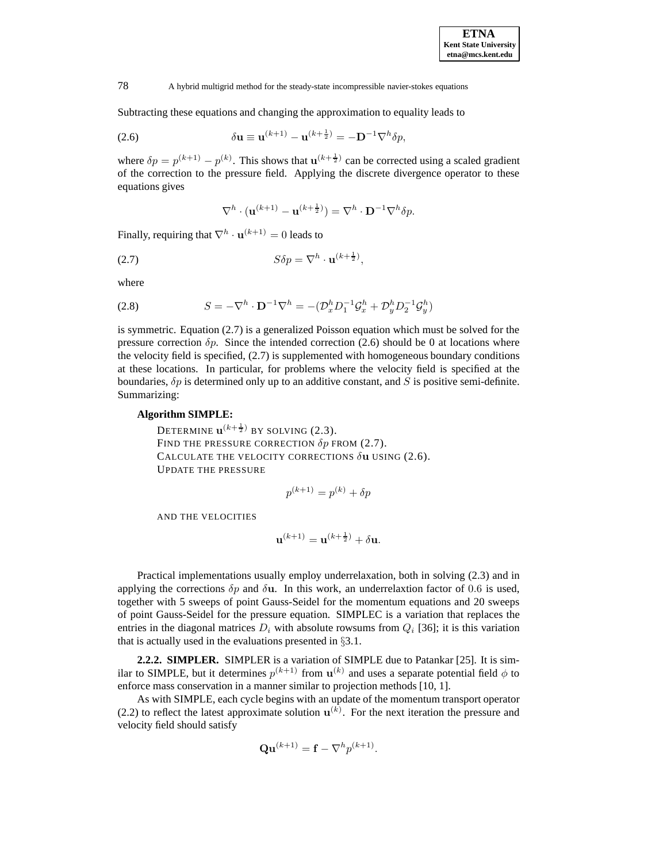Subtracting these equations and changing the approximation to equality leads to

(2.6) 
$$
\delta \mathbf{u} \equiv \mathbf{u}^{(k+1)} - \mathbf{u}^{(k+\frac{1}{2})} = -\mathbf{D}^{-1} \nabla^h \delta p,
$$

where  $\delta p = p^{(k+1)} - p^{(k)}$ . This shows that  $\mathbf{u}^{(k+\frac{1}{2})}$  can be corrected using a scaled gradient of the correction to the pressure field. Applying the discrete divergence operator to these equations gives

$$
\nabla^h \cdot (\mathbf{u}^{(k+1)} - \mathbf{u}^{(k+\frac{1}{2})}) = \nabla^h \cdot \mathbf{D}^{-1} \nabla^h \delta p.
$$

Finally, requiring that  $\nabla^h \cdot \mathbf{u}^{(k+1)} = 0$  leads to

$$
(2.7) \tS\delta p = \nabla^h \cdot \mathbf{u}^{(k+\frac{1}{2})},
$$

where

(2.8) 
$$
S = -\nabla^h \cdot \mathbf{D}^{-1} \nabla^h = -(\mathcal{D}_x^h D_1^{-1} \mathcal{G}_x^h + \mathcal{D}_y^h D_2^{-1} \mathcal{G}_y^h)
$$

is symmetric. Equation (2.7) is a generalized Poisson equation which must be solved for the pressure correction  $\delta p$ . Since the intended correction (2.6) should be 0 at locations where the velocity field is specified, (2.7) is supplemented with homogeneous boundary conditions at these locations. In particular, for problems where the velocity field is specified at the boundaries,  $\delta p$  is determined only up to an additive constant, and S is positive semi-definite. Summarizing:

# **Algorithm SIMPLE:**

DETERMINE  $\mathbf{u}^{(k+\frac{1}{2})}$  by solving (2.3). FIND THE PRESSURE CORRECTION  $\delta p$  FROM (2.7). CALCULATE THE VELOCITY CORRECTIONS δ**u** USING (2.6). UPDATE THE PRESSURE

$$
p^{(k+1)} = p^{(k)} + \delta p
$$

AND THE VELOCITIES

$$
\mathbf{u}^{(k+1)} = \mathbf{u}^{(k+\frac{1}{2})} + \delta \mathbf{u}.
$$

Practical implementations usually employ underrelaxation, both in solving (2.3) and in applying the corrections  $\delta p$  and  $\delta \mathbf{u}$ . In this work, an underrelaxtion factor of 0.6 is used, together with 5 sweeps of point Gauss-Seidel for the momentum equations and 20 sweeps of point Gauss-Seidel for the pressure equation. SIMPLEC is a variation that replaces the entries in the diagonal matrices  $D_i$  with absolute rowsums from  $Q_i$  [36]; it is this variation that is actually used in the evaluations presented in §3.1.

**2.2.2. SIMPLER.** SIMPLER is a variation of SIMPLE due to Patankar [25]. It is similar to SIMPLE, but it determines  $p^{(k+1)}$  from  $\mathbf{u}^{(k)}$  and uses a separate potential field  $\phi$  to enforce mass conservation in a manner similar to projection methods [10, 1].

As with SIMPLE, each cycle begins with an update of the momentum transport operator (2.2) to reflect the latest approximate solution  $\mathbf{u}^{(k)}$ . For the next iteration the pressure and velocity field should satisfy

$$
\mathbf{Qu}^{(k+1)} = \mathbf{f} - \nabla^h p^{(k+1)}.
$$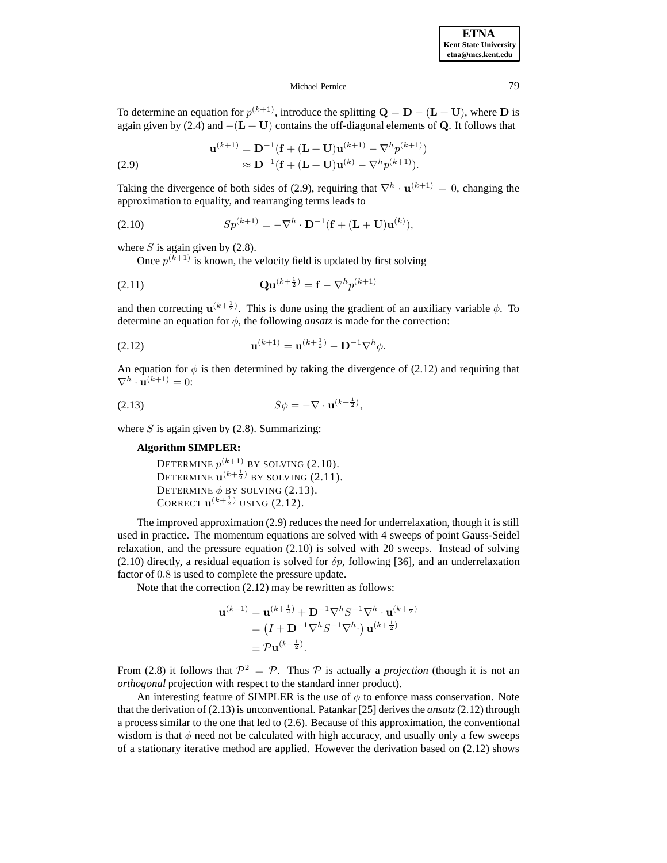To determine an equation for  $p^{(k+1)}$ , introduce the splitting  $\mathbf{Q} = \mathbf{D} - (\mathbf{L} + \mathbf{U})$ , where  $\mathbf{D}$  is again given by (2.4) and −(**L** + **U**) contains the off-diagonal elements of **Q**. It follows that

(2.9) 
$$
\mathbf{u}^{(k+1)} = \mathbf{D}^{-1}(\mathbf{f} + (\mathbf{L} + \mathbf{U})\mathbf{u}^{(k+1)} - \nabla^h p^{(k+1)})
$$

$$
\approx \mathbf{D}^{-1}(\mathbf{f} + (\mathbf{L} + \mathbf{U})\mathbf{u}^{(k)} - \nabla^h p^{(k+1)}).
$$

Taking the divergence of both sides of (2.9), requiring that  $\nabla^h \cdot \mathbf{u}^{(k+1)} = 0$ , changing the approximation to equality, and rearranging terms leads to

(2.10) 
$$
Sp^{(k+1)} = -\nabla^h \cdot \mathbf{D}^{-1}(\mathbf{f} + (\mathbf{L} + \mathbf{U})\mathbf{u}^{(k)}),
$$

where S is again given by  $(2.8)$ .

Once  $p^{(k+1)}$  is known, the velocity field is updated by first solving

$$
\mathbf{Qu}^{(k+\frac{1}{2})} = \mathbf{f} - \nabla^h p^{(k+1)}
$$

and then correcting  $\mathbf{u}^{(k+\frac{1}{2})}$ . This is done using the gradient of an auxiliary variable  $\phi$ . To determine an equation for  $\phi$ , the following *ansatz* is made for the correction:

(2.12) 
$$
\mathbf{u}^{(k+1)} = \mathbf{u}^{(k+\frac{1}{2})} - \mathbf{D}^{-1} \nabla^h \phi.
$$

An equation for  $\phi$  is then determined by taking the divergence of (2.12) and requiring that  $\nabla^h \cdot \mathbf{u}^{(k+1)} = 0$ :

$$
(2.13) \tS\phi = -\nabla \cdot \mathbf{u}^{(k+\frac{1}{2})},
$$

where  $S$  is again given by (2.8). Summarizing:

## **Algorithm SIMPLER:**

DETERMINE  $p^{(k+1)}$  BY SOLVING (2.10). DETERMINE  $\mathbf{u}^{(k+\frac{1}{2})}$  by solving (2.11). DETERMINE  $\phi$  BY SOLVING (2.13). CORRECT  ${\bf u}^{(k+\frac{1}{2})}$  using (2.12).

The improved approximation (2.9) reduces the need for underrelaxation, though it is still used in practice. The momentum equations are solved with 4 sweeps of point Gauss-Seidel relaxation, and the pressure equation (2.10) is solved with 20 sweeps. Instead of solving (2.10) directly, a residual equation is solved for  $\delta p$ , following [36], and an underrelaxation factor of 0.8 is used to complete the pressure update.

Note that the correction (2.12) may be rewritten as follows:

$$
\mathbf{u}^{(k+1)} = \mathbf{u}^{(k+\frac{1}{2})} + \mathbf{D}^{-1} \nabla^h S^{-1} \nabla^h \cdot \mathbf{u}^{(k+\frac{1}{2})}
$$
  
=  $(I + \mathbf{D}^{-1} \nabla^h S^{-1} \nabla^h \cdot) \mathbf{u}^{(k+\frac{1}{2})}$   
\equiv  $\mathcal{P} \mathbf{u}^{(k+\frac{1}{2})}$ .

From (2.8) it follows that  $\mathcal{P}^2 = \mathcal{P}$ . Thus  $\mathcal P$  is actually a *projection* (though it is not an *orthogonal* projection with respect to the standard inner product).

An interesting feature of SIMPLER is the use of  $\phi$  to enforce mass conservation. Note that the derivation of (2.13) is unconventional. Patankar [25] derives the *ansatz*(2.12) through a process similar to the one that led to (2.6). Because of this approximation, the conventional wisdom is that  $\phi$  need not be calculated with high accuracy, and usually only a few sweeps of a stationary iterative method are applied. However the derivation based on (2.12) shows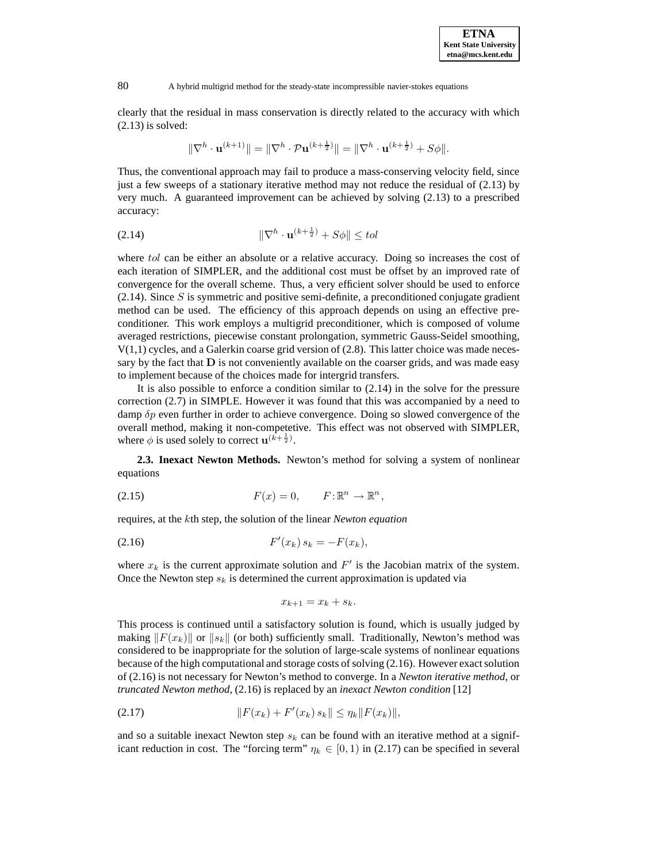clearly that the residual in mass conservation is directly related to the accuracy with which (2.13) is solved:

$$
\|\nabla^h \cdot \mathbf{u}^{(k+1)}\| = \|\nabla^h \cdot \mathcal{P} \mathbf{u}^{(k+\frac{1}{2})}\| = \|\nabla^h \cdot \mathbf{u}^{(k+\frac{1}{2})} + S\phi\|.
$$

Thus, the conventional approach may fail to produce a mass-conserving velocity field, since just a few sweeps of a stationary iterative method may not reduce the residual of (2.13) by very much. A guaranteed improvement can be achieved by solving (2.13) to a prescribed accuracy:

$$
\|\nabla^h \cdot \mathbf{u}^{(k+\frac{1}{2})} + S\phi\| \le tol
$$

where tol can be either an absolute or a relative accuracy. Doing so increases the cost of each iteration of SIMPLER, and the additional cost must be offset by an improved rate of convergence for the overall scheme. Thus, a very efficient solver should be used to enforce  $(2.14)$ . Since S is symmetric and positive semi-definite, a preconditioned conjugate gradient method can be used. The efficiency of this approach depends on using an effective preconditioner. This work employs a multigrid preconditioner, which is composed of volume averaged restrictions, piecewise constant prolongation, symmetric Gauss-Seidel smoothing,  $V(1,1)$  cycles, and a Galerkin coarse grid version of (2.8). This latter choice was made necessary by the fact that  **is not conveniently available on the coarser grids, and was made easy** to implement because of the choices made for intergrid transfers.

It is also possible to enforce a condition similar to (2.14) in the solve for the pressure correction (2.7) in SIMPLE. However it was found that this was accompanied by a need to damp  $\delta p$  even further in order to achieve convergence. Doing so slowed convergence of the overall method, making it non-competetive. This effect was not observed with SIMPLER, where  $\phi$  is used solely to correct  $\mathbf{u}^{(\hat{k}+\frac{1}{2})}$ .

**2.3. Inexact Newton Methods.** Newton's method for solving a system of nonlinear equations

(2.15) 
$$
F(x) = 0, \qquad F: \mathbb{R}^n \to \mathbb{R}^n,
$$

requires, at the kth step, the solution of the linear *Newton equation*

(2.16) 
$$
F'(x_k) s_k = -F(x_k),
$$

where  $x_k$  is the current approximate solution and  $F'$  is the Jacobian matrix of the system. Once the Newton step  $s_k$  is determined the current approximation is updated via

$$
x_{k+1} = x_k + s_k.
$$

This process is continued until a satisfactory solution is found, which is usually judged by making  $||F(x_k)||$  or  $||s_k||$  (or both) sufficiently small. Traditionally, Newton's method was considered to be inappropriate for the solution of large-scale systems of nonlinear equations because of the high computational and storage costs of solving (2.16). However exact solution of (2.16) is not necessary for Newton's method to converge. In a *Newton iterative method*, or *truncated Newton method*, (2.16) is replaced by an *inexact Newton condition* [12]

(2.17) 
$$
||F(x_k) + F'(x_k) s_k|| \leq \eta_k ||F(x_k)||,
$$

and so a suitable inexact Newton step  $s_k$  can be found with an iterative method at a significant reduction in cost. The "forcing term"  $\eta_k \in [0,1)$  in (2.17) can be specified in several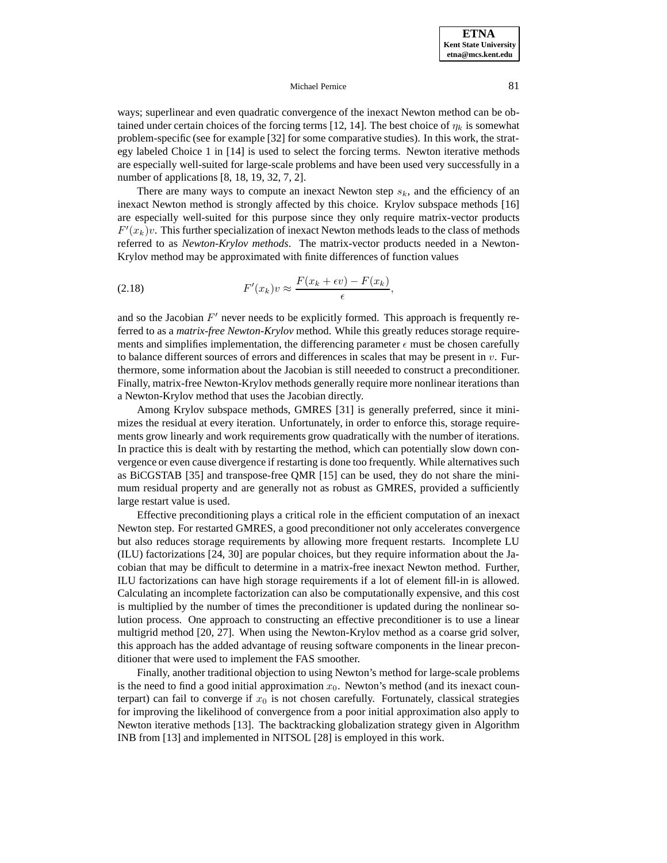ways; superlinear and even quadratic convergence of the inexact Newton method can be obtained under certain choices of the forcing terms [12, 14]. The best choice of  $\eta_k$  is somewhat problem-specific (see for example [32] for some comparative studies). In this work, the strategy labeled Choice 1 in [14] is used to select the forcing terms. Newton iterative methods are especially well-suited for large-scale problems and have been used very successfully in a number of applications [8, 18, 19, 32, 7, 2].

There are many ways to compute an inexact Newton step  $s_k$ , and the efficiency of an inexact Newton method is strongly affected by this choice. Krylov subspace methods [16] are especially well-suited for this purpose since they only require matrix-vector products  $F'(x_k)v$ . This further specialization of inexact Newton methods leads to the class of methods referred to as *Newton-Krylov methods*. The matrix-vector products needed in a Newton-Krylov method may be approximated with finite differences of function values

(2.18) 
$$
F'(x_k)v \approx \frac{F(x_k + \epsilon v) - F(x_k)}{\epsilon},
$$

and so the Jacobian  $F'$  never needs to be explicitly formed. This approach is frequently referred to as a *matrix-free Newton-Krylov* method. While this greatly reduces storage requirements and simplifies implementation, the differencing parameter  $\epsilon$  must be chosen carefully to balance different sources of errors and differences in scales that may be present in  $v$ . Furthermore, some information about the Jacobian is still neeeded to construct a preconditioner. Finally, matrix-free Newton-Krylov methods generally require more nonlinear iterations than a Newton-Krylov method that uses the Jacobian directly.

Among Krylov subspace methods, GMRES [31] is generally preferred, since it minimizes the residual at every iteration. Unfortunately, in order to enforce this, storage requirements grow linearly and work requirements grow quadratically with the number of iterations. In practice this is dealt with by restarting the method, which can potentially slow down convergence or even cause divergence if restarting is done too frequently. While alternatives such as BiCGSTAB [35] and transpose-free QMR [15] can be used, they do not share the minimum residual property and are generally not as robust as GMRES, provided a sufficiently large restart value is used.

Effective preconditioning plays a critical role in the efficient computation of an inexact Newton step. For restarted GMRES, a good preconditioner not only accelerates convergence but also reduces storage requirements by allowing more frequent restarts. Incomplete LU (ILU) factorizations [24, 30] are popular choices, but they require information about the Jacobian that may be difficult to determine in a matrix-free inexact Newton method. Further, ILU factorizations can have high storage requirements if a lot of element fill-in is allowed. Calculating an incomplete factorization can also be computationally expensive, and this cost is multiplied by the number of times the preconditioner is updated during the nonlinear solution process. One approach to constructing an effective preconditioner is to use a linear multigrid method [20, 27]. When using the Newton-Krylov method as a coarse grid solver, this approach has the added advantage of reusing software components in the linear preconditioner that were used to implement the FAS smoother.

Finally, another traditional objection to using Newton's method for large-scale problems is the need to find a good initial approximation  $x_0$ . Newton's method (and its inexact counterpart) can fail to converge if  $x_0$  is not chosen carefully. Fortunately, classical strategies for improving the likelihood of convergence from a poor initial approximation also apply to Newton iterative methods [13]. The backtracking globalization strategy given in Algorithm INB from [13] and implemented in NITSOL [28] is employed in this work.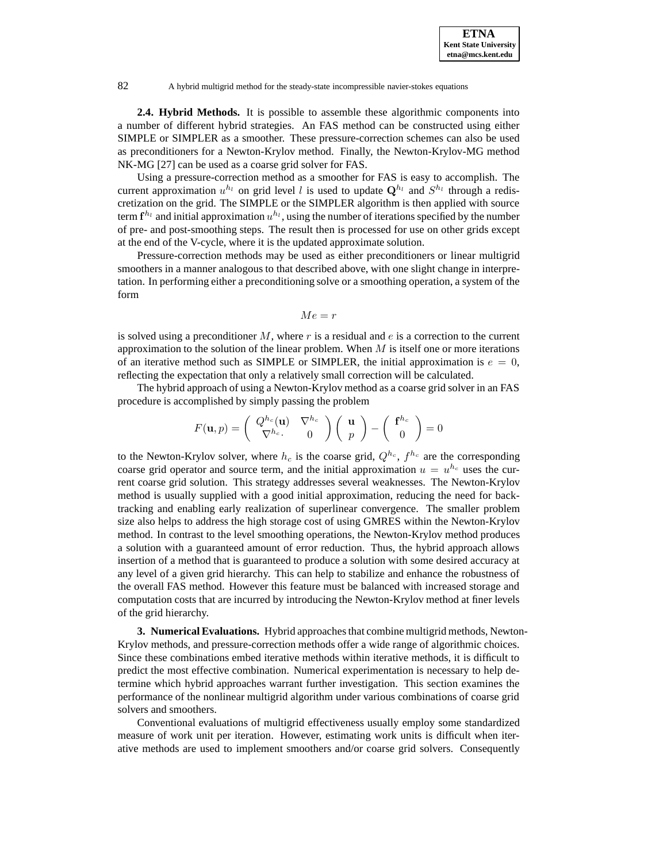**2.4. Hybrid Methods.** It is possible to assemble these algorithmic components into a number of different hybrid strategies. An FAS method can be constructed using either SIMPLE or SIMPLER as a smoother. These pressure-correction schemes can also be used as preconditioners for a Newton-Krylov method. Finally, the Newton-Krylov-MG method NK-MG [27] can be used as a coarse grid solver for FAS.

Using a pressure-correction method as a smoother for FAS is easy to accomplish. The current approximation  $u^{h_l}$  on grid level l is used to update  $\mathbf{Q}^{h_l}$  and  $S^{h_l}$  through a rediscretization on the grid. The SIMPLE or the SIMPLER algorithm is then applied with source term  $f^{h_l}$  and initial approximation  $u^{h_l}$ , using the number of iterations specified by the number of pre- and post-smoothing steps. The result then is processed for use on other grids except at the end of the V-cycle, where it is the updated approximate solution.

Pressure-correction methods may be used as either preconditioners or linear multigrid smoothers in a manner analogous to that described above, with one slight change in interpretation. In performing either a preconditioning solve or a smoothing operation, a system of the form

$$
Me=r
$$

is solved using a preconditioner  $M$ , where r is a residual and  $e$  is a correction to the current approximation to the solution of the linear problem. When  $M$  is itself one or more iterations of an iterative method such as SIMPLE or SIMPLER, the initial approximation is  $e = 0$ . reflecting the expectation that only a relatively small correction will be calculated.

The hybrid approach of using a Newton-Krylov method as a coarse grid solver in an FAS procedure is accomplished by simply passing the problem

$$
F(\mathbf{u},p) = \begin{pmatrix} Q^{h_c}(\mathbf{u}) & \nabla^{h_c} \\ \nabla^{h_c} & 0 \end{pmatrix} \begin{pmatrix} \mathbf{u} \\ p \end{pmatrix} - \begin{pmatrix} \mathbf{f}^{h_c} \\ 0 \end{pmatrix} = 0
$$

to the Newton-Krylov solver, where  $h_c$  is the coarse grid,  $Q^{h_c}$ ,  $f^{h_c}$  are the corresponding coarse grid operator and source term, and the initial approximation  $u = u^{h_c}$  uses the current coarse grid solution. This strategy addresses several weaknesses. The Newton-Krylov method is usually supplied with a good initial approximation, reducing the need for backtracking and enabling early realization of superlinear convergence. The smaller problem size also helps to address the high storage cost of using GMRES within the Newton-Krylov method. In contrast to the level smoothing operations, the Newton-Krylov method produces a solution with a guaranteed amount of error reduction. Thus, the hybrid approach allows insertion of a method that is guaranteed to produce a solution with some desired accuracy at any level of a given grid hierarchy. This can help to stabilize and enhance the robustness of the overall FAS method. However this feature must be balanced with increased storage and computation costs that are incurred by introducing the Newton-Krylov method at finer levels of the grid hierarchy.

**3. Numerical Evaluations.** Hybrid approaches that combine multigrid methods, Newton-Krylov methods, and pressure-correction methods offer a wide range of algorithmic choices. Since these combinations embed iterative methods within iterative methods, it is difficult to predict the most effective combination. Numerical experimentation is necessary to help determine which hybrid approaches warrant further investigation. This section examines the performance of the nonlinear multigrid algorithm under various combinations of coarse grid solvers and smoothers.

Conventional evaluations of multigrid effectiveness usually employ some standardized measure of work unit per iteration. However, estimating work units is difficult when iterative methods are used to implement smoothers and/or coarse grid solvers. Consequently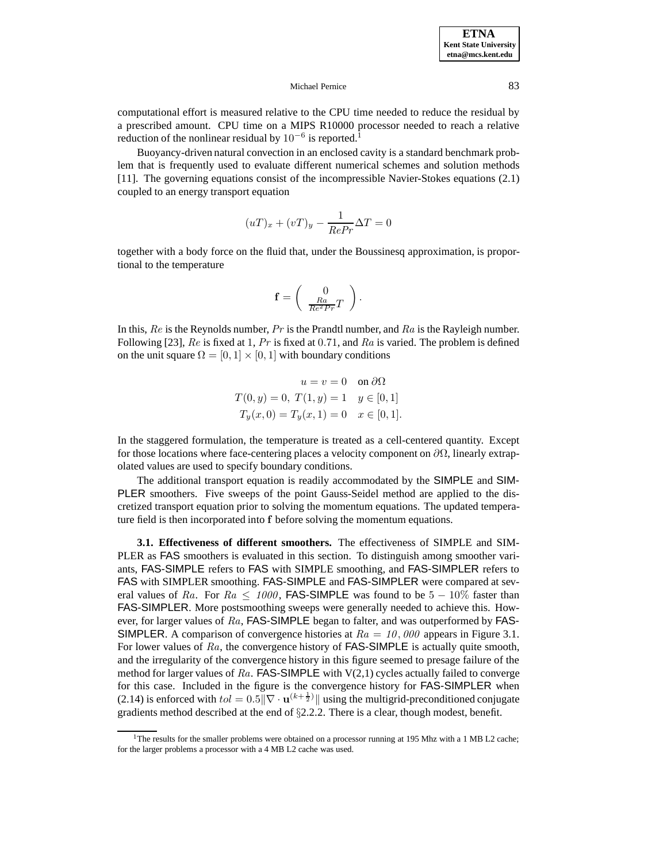computational effort is measured relative to the CPU time needed to reduce the residual by a prescribed amount. CPU time on a MIPS R10000 processor needed to reach a relative reduction of the nonlinear residual by  $10^{-6}$  is reported.<sup>1</sup>

Buoyancy-driven natural convection in an enclosed cavity is a standard benchmark problem that is frequently used to evaluate different numerical schemes and solution methods [11]. The governing equations consist of the incompressible Navier-Stokes equations (2.1) coupled to an energy transport equation

$$
(uT)_x + (vT)_y - \frac{1}{RePr} \Delta T = 0
$$

together with a body force on the fluid that, under the Boussinesq approximation, is proportional to the temperature

$$
\mathbf{f} = \left( \begin{array}{c} 0 \\ \frac{Ra}{Re^2 Pr} T \end{array} \right).
$$

In this,  $Re$  is the Reynolds number,  $Pr$  is the Prandtl number, and  $Ra$  is the Rayleigh number. Following [23],  $Re$  is fixed at 1,  $Pr$  is fixed at 0.71, and  $Ra$  is varied. The problem is defined on the unit square  $\Omega = [0, 1] \times [0, 1]$  with boundary conditions

$$
u = v = 0 \text{ on } \partial\Omega
$$
  

$$
T(0, y) = 0, T(1, y) = 1 \quad y \in [0, 1]
$$
  

$$
T_y(x, 0) = T_y(x, 1) = 0 \quad x \in [0, 1].
$$

In the staggered formulation, the temperature is treated as a cell-centered quantity. Except for those locations where face-centering places a velocity component on  $\partial\Omega$ , linearly extrapolated values are used to specify boundary conditions.

The additional transport equation is readily accommodated by the SIMPLE and SIM-PLER smoothers. Five sweeps of the point Gauss-Seidel method are applied to the discretized transport equation prior to solving the momentum equations. The updated temperature field is then incorporated into **f** before solving the momentum equations.

**3.1. Effectiveness of different smoothers.** The effectiveness of SIMPLE and SIM-PLER as FAS smoothers is evaluated in this section. To distinguish among smoother variants, FAS-SIMPLE refers to FAS with SIMPLE smoothing, and FAS-SIMPLER refers to FAS with SIMPLER smoothing. FAS-SIMPLE and FAS-SIMPLER were compared at several values of Ra. For  $Ra \le 1000$ , FAS-SIMPLE was found to be  $5-10\%$  faster than FAS-SIMPLER. More postsmoothing sweeps were generally needed to achieve this. However, for larger values of  $Ra$ , FAS-SIMPLE began to falter, and was outperformed by FAS-**SIMPLER.** A comparison of convergence histories at  $Ra = 10,000$  appears in Figure 3.1. For lower values of Ra, the convergence history of **FAS-SIMPLE** is actually quite smooth, and the irregularity of the convergence history in this figure seemed to presage failure of the method for larger values of Ra. FAS-SIMPLE with  $V(2,1)$  cycles actually failed to converge for this case. Included in the figure is the convergence history for FAS-SIMPLER when (2.14) is enforced with  $tol = 0.5 \|\nabla \cdot \mathbf{u}^{(k+\frac{1}{2})}\|$  using the multigrid-preconditioned conjugate gradients method described at the end of §2.2.2. There is a clear, though modest, benefit.

<sup>&</sup>lt;sup>1</sup>The results for the smaller problems were obtained on a processor running at 195 Mhz with a 1 MB L2 cache; for the larger problems a processor with a 4 MB L2 cache was used.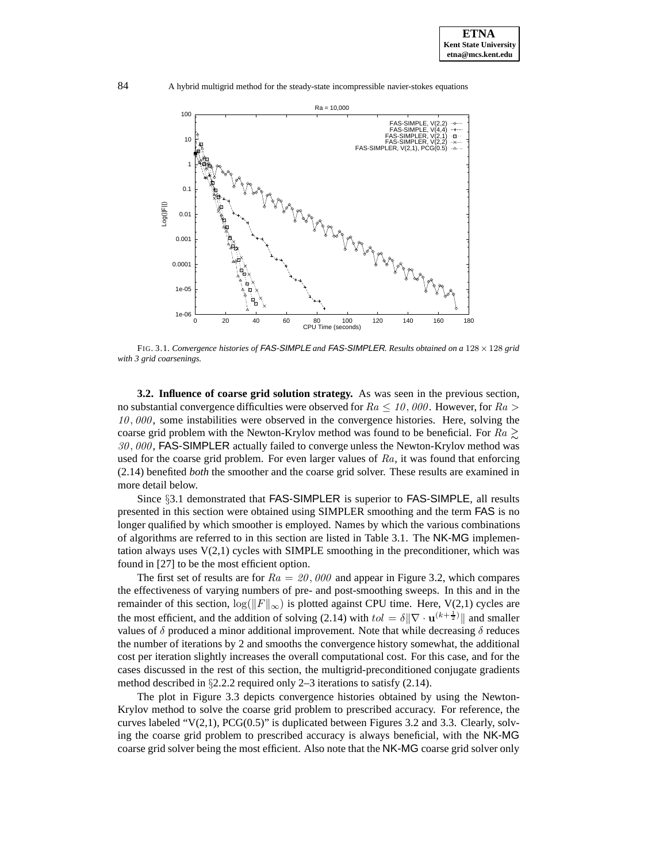

FIG. 3.1. *Convergence histories of* FAS-SIMPLE *and* FAS-SIMPLER*. Results obtained on a* 128 × 128 *grid with 3 grid coarsenings.*

**3.2. Influence of coarse grid solution strategy.** As was seen in the previous section, no substantial convergence difficulties were observed for  $Ra \leq 10,000$ . However, for  $Ra >$ 10, 000, some instabilities were observed in the convergence histories. Here, solving the coarse grid problem with the Newton-Krylov method was found to be beneficial. For  $Ra \geq$ 30, 000, FAS-SIMPLER actually failed to converge unless the Newton-Krylov method was used for the coarse grid problem. For even larger values of  $Ra$ , it was found that enforcing (2.14) benefited *both* the smoother and the coarse grid solver. These results are examined in more detail below.

Since §3.1 demonstrated that FAS-SIMPLER is superior to FAS-SIMPLE, all results presented in this section were obtained using SIMPLER smoothing and the term FAS is no longer qualified by which smoother is employed. Names by which the various combinations of algorithms are referred to in this section are listed in Table 3.1. The NK-MG implementation always uses  $V(2,1)$  cycles with SIMPLE smoothing in the preconditioner, which was found in [27] to be the most efficient option.

The first set of results are for  $Ra = 20,000$  and appear in Figure 3.2, which compares the effectiveness of varying numbers of pre- and post-smoothing sweeps. In this and in the remainder of this section,  $\log(||F||_{\infty})$  is plotted against CPU time. Here, V(2,1) cycles are the most efficient, and the addition of solving (2.14) with  $tol = \delta \|\nabla \cdot \mathbf{u}^{(k+\frac{1}{2})}\|$  and smaller values of  $\delta$  produced a minor additional improvement. Note that while decreasing  $\delta$  reduces the number of iterations by 2 and smooths the convergence history somewhat, the additional cost per iteration slightly increases the overall computational cost. For this case, and for the cases discussed in the rest of this section, the multigrid-preconditioned conjugate gradients method described in §2.2.2 required only 2–3 iterations to satisfy (2.14).

The plot in Figure 3.3 depicts convergence histories obtained by using the Newton-Krylov method to solve the coarse grid problem to prescribed accuracy. For reference, the curves labeled " $V(2,1)$ , PCG $(0.5)$ " is duplicated between Figures 3.2 and 3.3. Clearly, solving the coarse grid problem to prescribed accuracy is always beneficial, with the NK-MG coarse grid solver being the most efficient. Also note that the NK-MG coarse grid solver only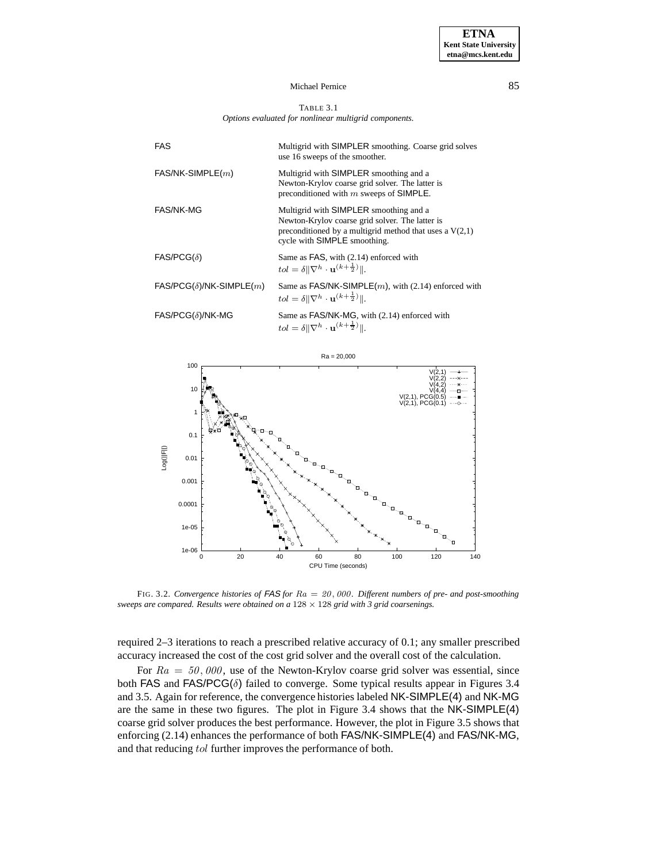#### TABLE 3.1 *Options evaluated for nonlinear multigrid components.*

| <b>FAS</b>                     | Multigrid with SIMPLER smoothing. Coarse grid solves<br>use 16 sweeps of the smoother.                                                                                                 |  |
|--------------------------------|----------------------------------------------------------------------------------------------------------------------------------------------------------------------------------------|--|
| $FAS/NK-SIMPLE(m)$             | Multigrid with SIMPLER smoothing and a<br>Newton-Krylov coarse grid solver. The latter is<br>preconditioned with $m$ sweeps of SIMPLE.                                                 |  |
| <b>FAS/NK-MG</b>               | Multigrid with SIMPLER smoothing and a<br>Newton-Krylov coarse grid solver. The latter is<br>preconditioned by a multigrid method that uses a $V(2,1)$<br>cycle with SIMPLE smoothing. |  |
| $FAS/PCG(\delta)$              | Same as FAS, with (2.14) enforced with<br>$tol = \delta \ \nabla^h \cdot \mathbf{u}^{(k+\frac{1}{2})}\ .$                                                                              |  |
| $FAS/PCG(\delta)/NK-SIMPLE(m)$ | Same as $FAS/NK-SIMPLE(m)$ , with (2.14) enforced with<br>$tol = \delta \ \nabla^h \cdot \mathbf{u}^{(k+\frac{1}{2})}\ .$                                                              |  |
| $FAS/PCG(\delta)/NK-MG$        | Same as FAS/NK-MG, with (2.14) enforced with<br>$tol = \delta \ \nabla^h \cdot \mathbf{u}^{(k+\frac{1}{2})}\ .$                                                                        |  |



FIG. 3.2. *Convergence histories of* FAS *for* Ra = 20, 000*. Different numbers of pre- and post-smoothing sweeps are compared. Results were obtained on a* 128 × 128 *grid with 3 grid coarsenings.*

required 2–3 iterations to reach a prescribed relative accuracy of 0.1; any smaller prescribed accuracy increased the cost of the cost grid solver and the overall cost of the calculation.

For  $Ra = 50,000$ , use of the Newton-Krylov coarse grid solver was essential, since both FAS and FAS/PCG( $\delta$ ) failed to converge. Some typical results appear in Figures 3.4 and 3.5. Again for reference, the convergence histories labeled NK-SIMPLE(4) and NK-MG are the same in these two figures. The plot in Figure 3.4 shows that the NK-SIMPLE(4) coarse grid solver produces the best performance. However, the plot in Figure 3.5 shows that enforcing (2.14) enhances the performance of both FAS/NK-SIMPLE(4) and FAS/NK-MG, and that reducing tol further improves the performance of both.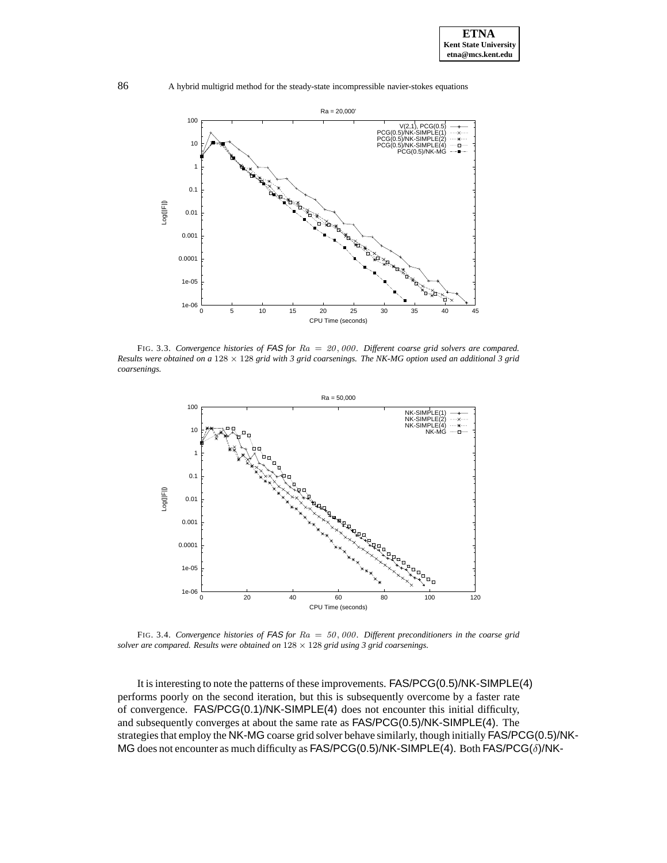

86 A hybrid multigrid method for the steady-state incompressible navier-stokes equations



FIG. 3.3. *Convergence histories of* FAS *for* Ra = 20, 000*. Different coarse grid solvers are compared. Results were obtained on a* 128 × 128 *grid with 3 grid coarsenings. The NK-MG option used an additional 3 grid coarsenings.*



FIG. 3.4. *Convergence histories of* FAS *for* Ra = 50, 000*. Different preconditioners in the coarse grid solver are compared. Results were obtained on* 128 × 128 *grid using 3 grid coarsenings.*

It is interesting to note the patterns of these improvements. FAS/PCG(0.5)/NK-SIMPLE(4) performs poorly on the second iteration, but this is subsequently overcome by a faster rate of convergence. FAS/PCG(0.1)/NK-SIMPLE(4) does not encounter this initial difficulty, and subsequently converges at about the same rate as FAS/PCG(0.5)/NK-SIMPLE(4). The strategies that employ the NK-MG coarse grid solver behave similarly, though initially FAS/PCG(0.5)/NK-MG does not encounter as much difficulty as FAS/PCG(0.5)/NK-SIMPLE(4). Both FAS/PCG(δ)/NK-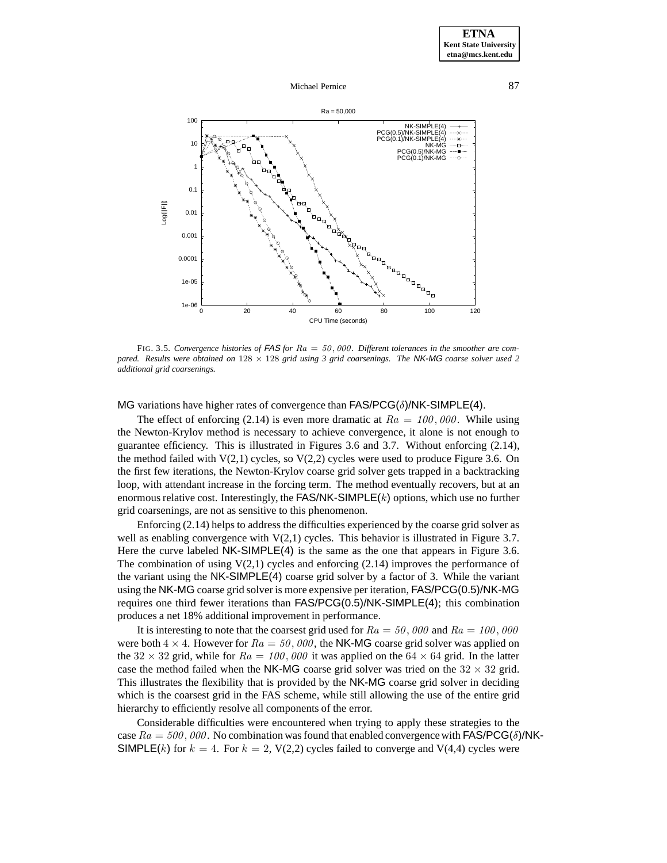



FIG. 3.5. *Convergence histories of* FAS *for* Ra = 50, 000*. Different tolerances in the smoother are compared. Results were obtained on* 128 × 128 *grid using 3 grid coarsenings. The* NK-MG *coarse solver used 2 additional grid coarsenings.*

MG variations have higher rates of convergence than  $FAS/PCG(\delta)/NK\text{-}SIMPLE(4)$ .

The effect of enforcing (2.14) is even more dramatic at  $Ra = 100,000$ . While using the Newton-Krylov method is necessary to achieve convergence, it alone is not enough to guarantee efficiency. This is illustrated in Figures 3.6 and 3.7. Without enforcing (2.14), the method failed with  $V(2,1)$  cycles, so  $V(2,2)$  cycles were used to produce Figure 3.6. On the first few iterations, the Newton-Krylov coarse grid solver gets trapped in a backtracking loop, with attendant increase in the forcing term. The method eventually recovers, but at an enormous relative cost. Interestingly, the  $FAS/NK-SIMPLE(k)$  options, which use no further grid coarsenings, are not as sensitive to this phenomenon.

Enforcing (2.14) helps to address the difficulties experienced by the coarse grid solver as well as enabling convergence with  $V(2,1)$  cycles. This behavior is illustrated in Figure 3.7. Here the curve labeled NK-SIMPLE(4) is the same as the one that appears in Figure 3.6. The combination of using  $V(2,1)$  cycles and enforcing (2.14) improves the performance of the variant using the NK-SIMPLE(4) coarse grid solver by a factor of 3. While the variant using the NK-MG coarse grid solver is more expensive per iteration, FAS/PCG(0.5)/NK-MG requires one third fewer iterations than FAS/PCG(0.5)/NK-SIMPLE(4); this combination produces a net 18% additional improvement in performance.

It is interesting to note that the coarsest grid used for  $Ra = 50$ , 000 and  $Ra = 100$ , 000 were both  $4 \times 4$ . However for  $Ra = 50,000$ , the NK-MG coarse grid solver was applied on the 32  $\times$  32 grid, while for  $Ra = 100,000$  it was applied on the 64  $\times$  64 grid. In the latter case the method failed when the NK-MG coarse grid solver was tried on the  $32 \times 32$  grid. This illustrates the flexibility that is provided by the NK-MG coarse grid solver in deciding which is the coarsest grid in the FAS scheme, while still allowing the use of the entire grid hierarchy to efficiently resolve all components of the error.

Considerable difficulties were encountered when trying to apply these strategies to the case  $Ra = 500, 000$ . No combination was found that enabled convergence with FAS/PCG( $\delta$ )/NK-SIMPLE(k) for  $k = 4$ . For  $k = 2$ , V(2,2) cycles failed to converge and V(4,4) cycles were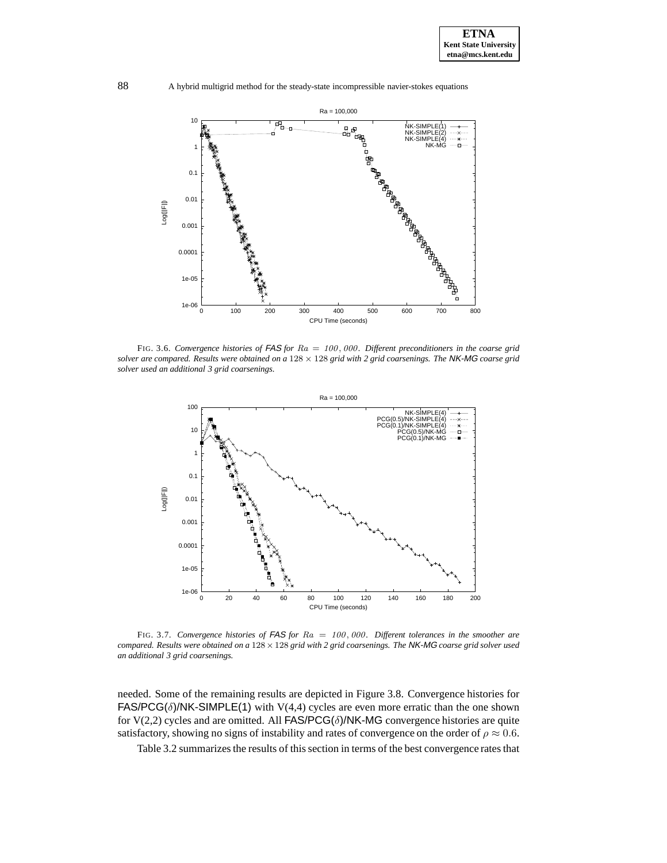

88 A hybrid multigrid method for the steady-state incompressible navier-stokes equations



FIG. 3.6. *Convergence histories of* FAS *for* Ra = 100, 000*. Different preconditioners in the coarse grid solver are compared. Results were obtained on a* 128 × 128 *grid with 2 grid coarsenings. The* NK-MG *coarse grid solver used an additional 3 grid coarsenings.*



FIG. 3.7. *Convergence histories of* FAS *for* Ra = 100, 000*. Different tolerances in the smoother are compared. Results were obtained on a* 128×128 *grid with 2 grid coarsenings. The* NK-MG *coarse grid solver used an additional 3 grid coarsenings.*

needed. Some of the remaining results are depicted in Figure 3.8. Convergence histories for FAS/PCG( $\delta$ )/NK-SIMPLE(1) with V(4,4) cycles are even more erratic than the one shown for V(2,2) cycles and are omitted. All FAS/PCG( $\delta$ )/NK-MG convergence histories are quite satisfactory, showing no signs of instability and rates of convergence on the order of  $\rho \approx 0.6$ .

Table 3.2 summarizes the results of this section in terms of the best convergence rates that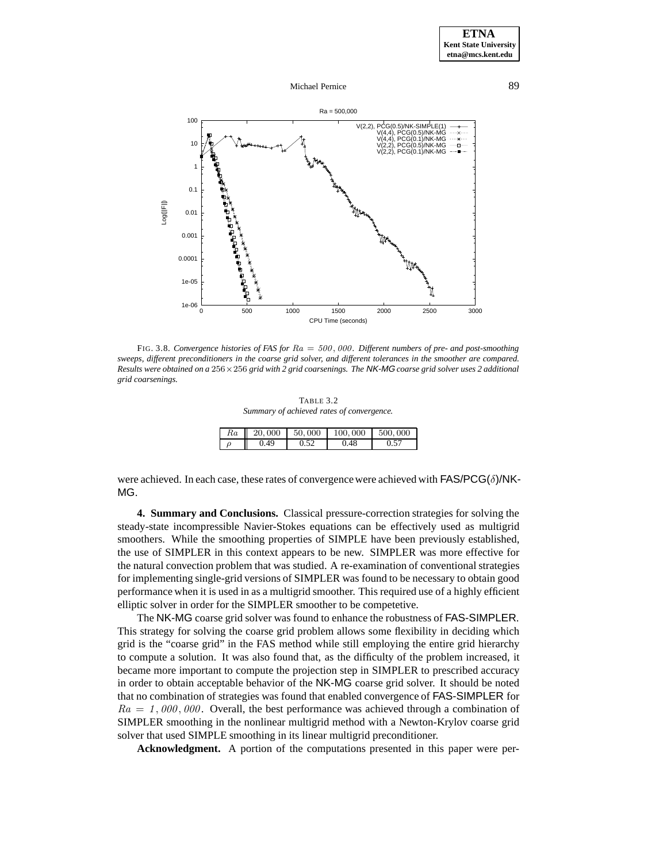



FIG. 3.8. *Convergence histories of FAS for* Ra = 500, 000*. Different numbers of pre- and post-smoothing sweeps, different preconditioners in the coarse grid solver, and different tolerances in the smoother are compared. Results were obtained on a* 256×256 *grid with 2 grid coarsenings. The* NK-MG *coarse grid solver uses 2 additional grid coarsenings.*

TABLE 3.2 *Summary of achieved rates of convergence.*

| Кa | 20,000 | 50,000 | 100,000 | 500,000 |
|----|--------|--------|---------|---------|
|    | 49     |        | .48     |         |

were achieved. In each case, these rates of convergence were achieved with FAS/PCG( $\delta$ )/NK-MG.

**4. Summary and Conclusions.** Classical pressure-correction strategies for solving the steady-state incompressible Navier-Stokes equations can be effectively used as multigrid smoothers. While the smoothing properties of SIMPLE have been previously established, the use of SIMPLER in this context appears to be new. SIMPLER was more effective for the natural convection problem that was studied. A re-examination of conventional strategies for implementing single-grid versions of SIMPLER was found to be necessary to obtain good performance when it is used in as a multigrid smoother. This required use of a highly efficient elliptic solver in order for the SIMPLER smoother to be competetive.

The NK-MG coarse grid solver was found to enhance the robustness of FAS-SIMPLER. This strategy for solving the coarse grid problem allows some flexibility in deciding which grid is the "coarse grid" in the FAS method while still employing the entire grid hierarchy to compute a solution. It was also found that, as the difficulty of the problem increased, it became more important to compute the projection step in SIMPLER to prescribed accuracy in order to obtain acceptable behavior of the NK-MG coarse grid solver. It should be noted that no combination of strategies was found that enabled convergence of FAS-SIMPLER for  $Ra = 1,000,000$ . Overall, the best performance was achieved through a combination of SIMPLER smoothing in the nonlinear multigrid method with a Newton-Krylov coarse grid solver that used SIMPLE smoothing in its linear multigrid preconditioner.

**Acknowledgment.** A portion of the computations presented in this paper were per-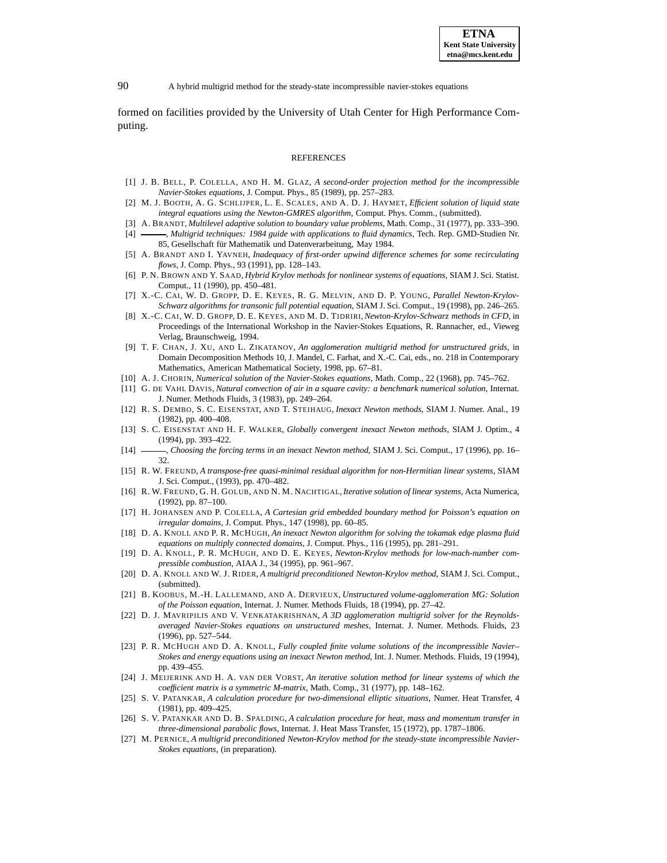formed on facilities provided by the University of Utah Center for High Performance Computing.

#### REFERENCES

- [1] J. B. BELL, P. COLELLA, AND H. M. GLAZ, *A second-order projection method for the incompressible Navier-Stokes equations*, J. Comput. Phys., 85 (1989), pp. 257–283.
- [2] M. J. BOOTH, A. G. SCHLIJPER, L. E. SCALES, AND A. D. J. HAYMET, *Efficient solution of liquid state integral equations using the Newton-GMRES algorithm*, Comput. Phys. Comm., (submitted).
- [3] A. BRANDT, *Multilevel adaptive solution to boundary value problems*, Math. Comp., 31 (1977), pp. 333–390.
- [4] , *Multigrid techniques: 1984 guide with applications to fluid dynamics*, Tech. Rep. GMD-Studien Nr. 85, Gesellschaft für Mathematik und Datenverarbeitung, May 1984.
- [5] A. BRANDT AND I. YAVNEH, *Inadequacy of first-order upwind difference schemes for some recirculating flows*, J. Comp. Phys., 93 (1991), pp. 128–143.
- [6] P. N. BROWN AND Y. SAAD, *Hybrid Krylov methods for nonlinear systems of equations*, SIAM J. Sci. Statist. Comput., 11 (1990), pp. 450–481.
- [7] X.-C. CAI, W. D. GROPP, D. E. KEYES, R. G. MELVIN, AND D. P. YOUNG, *Parallel Newton-Krylov-Schwarz algorithms for transonic full potential equation*, SIAM J. Sci. Comput., 19 (1998), pp. 246–265.
- [8] X.-C. CAI, W. D. GROPP, D. E. KEYES, AND M. D. TIDRIRI,*Newton-Krylov-Schwarz methods in CFD*, in Proceedings of the International Workshop in the Navier-Stokes Equations, R. Rannacher, ed., Vieweg Verlag, Braunschweig, 1994.
- [9] T. F. CHAN, J. XU, AND L. ZIKATANOV, *An agglomeration multigrid method for unstructured grids*, in Domain Decomposition Methods 10, J. Mandel, C. Farhat, and X.-C. Cai, eds., no. 218 in Contemporary Mathematics, American Mathematical Society, 1998, pp. 67–81.
- [10] A. J. CHORIN, *Numerical solution of the Navier-Stokes equations*, Math. Comp., 22 (1968), pp. 745–762.
- [11] G. DE VAHL DAVIS, *Natural convection of air in a square cavity: a benchmark numerical solution*, Internat. J. Numer. Methods Fluids, 3 (1983), pp. 249–264.
- [12] R. S. DEMBO, S. C. EISENSTAT, AND T. STEIHAUG, *Inexact Newton methods*, SIAM J. Numer. Anal., 19 (1982), pp. 400–408.
- [13] S. C. EISENSTAT AND H. F. WALKER, *Globally convergent inexact Newton methods*, SIAM J. Optim., 4 (1994), pp. 393–422.
- [14] , *Choosing the forcing terms in an inexact Newton method*, SIAM J. Sci. Comput., 17 (1996), pp. 16– 32.
- [15] R. W. FREUND, *A transpose-free quasi-minimal residual algorithm for non-Hermitian linear systems*, SIAM J. Sci. Comput., (1993), pp. 470–482.
- [16] R. W. FREUND, G. H. GOLUB, AND N. M. NACHTIGAL,*Iterative solution of linear systems*, Acta Numerica, (1992), pp. 87–100.
- [17] H. JOHANSEN AND P. COLELLA, *A Cartesian grid embedded boundary method for Poisson's equation on irregular domains*, J. Comput. Phys., 147 (1998), pp. 60–85.
- [18] D. A. KNOLL AND P. R. MCHUGH, *An inexact Newton algorithm for solving the tokamak edge plasma fluid equations on multiply connected domains*, J. Comput. Phys., 116 (1995), pp. 281–291.
- [19] D. A. KNOLL, P. R. MCHUGH, AND D. E. KEYES, *Newton-Krylov methods for low-mach-number compressible combustion*, AIAA J., 34 (1995), pp. 961–967.
- [20] D. A. KNOLL AND W. J. RIDER, *A multigrid preconditioned Newton-Krylov method*, SIAM J. Sci. Comput., (submitted).
- [21] B. KOOBUS, M.-H. LALLEMAND, AND A. DERVIEUX, *Unstructured volume-agglomeration MG: Solution of the Poisson equation*, Internat. J. Numer. Methods Fluids, 18 (1994), pp. 27–42.
- [22] D. J. MAVRIPILIS AND V. VENKATAKRISHNAN, *A 3D agglomeration multigrid solver for the Reynoldsaveraged Navier-Stokes equations on unstructured meshes*, Internat. J. Numer. Methods. Fluids, 23 (1996), pp. 527–544.
- [23] P. R. MCHUGH AND D. A. KNOLL, *Fully coupled finite volume solutions of the incompressible Navier– Stokes and energy equations using an inexact Newton method*, Int. J. Numer. Methods. Fluids, 19 (1994), pp. 439–455.
- [24] J. MEIJERINK AND H. A. VAN DER VORST, *An iterative solution method for linear systems of which the coefficient matrix is a symmetric M-matrix*, Math. Comp., 31 (1977), pp. 148–162.
- [25] S. V. PATANKAR, *A calculation procedure for two-dimensional elliptic situations*, Numer. Heat Transfer, 4 (1981), pp. 409–425.
- [26] S. V. PATANKAR AND D. B. SPALDING, *A calculation procedure for heat, mass and momentum transfer in three-dimensional parabolic flows*, Internat. J. Heat Mass Transfer, 15 (1972), pp. 1787–1806.
- [27] M. PERNICE, *A multigrid preconditioned Newton-Krylov method for the steady-state incompressible Navier-Stokes equations*, (in preparation).